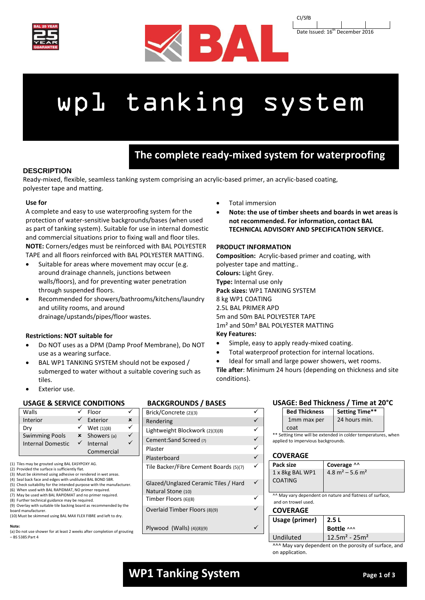





# wp1 tanking system

# **The complete ready-mixed system for waterproofing**

# **DESCRIPTION**

Ready-mixed, flexible, seamless tanking system comprising an acrylic-based primer, an acrylic-based coating, polyester tape and matting. **walls & floors**

## **Use for**

A complete and easy to use waterproofing system for the protection of water-sensitive backgrounds/bases (when used as part of tanking system). Suitable for use in internal domestic and commercial situations prior to fixing wall and floor tiles. **NOTE:** Corners/edges must be reinforced with BAL POLYESTER TAPE and all floors reinforced with BAL POLYESTER MATTING.

- Suitable for areas where movement may occur (e.g. around drainage channels, junctions between walls/floors), and for preventing water penetration through suspended floors.
- Recommended for showers/bathrooms/kitchens/laundry and utility rooms, and around drainage/upstands/pipes/floor wastes.

#### **Restrictions: NOT suitable for**

- Do NOT uses as a DPM (Damp Proof Membrane), Do NOT use as a wearing surface.
- BAL WP1 TANKING SYSTEM should not be exposed / submerged to water without a suitable covering such as tiles.
- Exterior use.

#### **USAGE & SERVICE CONDITIONS**

|                          | Floor      |             |
|--------------------------|------------|-------------|
|                          | Exterior   | ×           |
|                          | Wet (1)(8) |             |
| ×                        |            |             |
| <b>Internal Domestic</b> | Internal   |             |
|                          | Commercial |             |
|                          |            | Showers (a) |

- (1) Tiles may be grouted using BAL EASYPOXY AG.
- (2) Provided the surface is sufficiently flat.
- (3) Must be skimmed using adhesive or rendered in wet areas. (4) Seal back face and edges with undiluted BAL BOND SBR.
- (5) Check suitability for the intended purpose with the manufacturer.
- (6) When used with BAL RAPIDMAT, NO primer required.
- (7) May be used with BAL RAPIDMAT and no primer required. (8) Further technical guidance may be required.
- (9) Overlay with suitable tile backing board as recommended by the
- board manufacturer.
- (10) Must be skimmed using BAL MAX FLEX FIBRE and left to dry.

#### **Note:**

(a) Do not use shower for at least 2 weeks after completion of grouting  $-$  BS 5385:Part 4

#### **BACKGROUNDS / BASES**

| Brick/Concrete (2)(3)                                      |  |
|------------------------------------------------------------|--|
| Rendering                                                  |  |
| Lightweight Blockwork (2)(3)(8)                            |  |
| Cement:Sand Screed (7)                                     |  |
| Plaster                                                    |  |
| Plasterboard                                               |  |
| Tile Backer/Fibre Cement Boards (5)(7)                     |  |
| Glazed/Unglazed Ceramic Tiles / Hard<br>Natural Stone (10) |  |
| Timber Floors (6)(8)                                       |  |
| Overlaid Timber Floors (8)(9)                              |  |
| Plywood (Walls) $(4)(8)(9)$                                |  |

#### Total immersion

 **Note: the use of timber sheets and boards in wet areas is not recommended. For information, contact BAL TECHNICAL ADVISORY AND SPECIFICATION SERVICE.**

#### **PRODUCT INFORMATION**

**Composition:** Acrylic-based primer and coating, with polyester tape and matting.. **Colours:** Light Grey. **Type:** Internal use only **Pack sizes:** WP1 TANKING SYSTEM 8 kg WP1 COATING 2.5L BAL PRIMER APD 5m and 50m BAL POLYESTER TAPE 1m² and 50m² BAL POLYESTER MATTING **Key Features:**

- Simple, easy to apply ready-mixed coating.
- Total waterproof protection for internal locations.
- Ideal for small and large power showers, wet rooms.

**Tile after**: Minimum 24 hours (depending on thickness and site conditions).

#### **USAGE: Bed Thickness / Time at 20°C**

| <b>Bed Thickness</b>                                          |  | <b>Setting Time**</b>                     |  |
|---------------------------------------------------------------|--|-------------------------------------------|--|
| 1mm max per                                                   |  | 24 hours min.                             |  |
| coat                                                          |  |                                           |  |
| ** Setting time will be extended in colder temperatures, when |  |                                           |  |
| applied to impervious backgrounds.                            |  |                                           |  |
|                                                               |  |                                           |  |
| <b>COVERAGE</b>                                               |  |                                           |  |
| Pack size                                                     |  | Coverage ^^                               |  |
| 1 x 8kg BAL WP1                                               |  | $4.8$ m <sup>2</sup> – 5.6 m <sup>2</sup> |  |
| <b>COATING</b>                                                |  |                                           |  |
|                                                               |  |                                           |  |
| AA May vary dependent on nature and flatness of surface,      |  |                                           |  |
| and on trowel used.                                           |  |                                           |  |
| <b>COVERAGE</b>                                               |  |                                           |  |
|                                                               |  |                                           |  |

| Usage (primer) $\vert$ 2.5 L |                 |  |
|------------------------------|-----------------|--|
|                              | Bottle ^^^      |  |
| Undiluted                    | $12.5m2 - 25m2$ |  |

^^^ May vary dependent on the porosity of surface, and on application.

# **WP1 Tanking System Page 1 of 3 Page 1 of 3**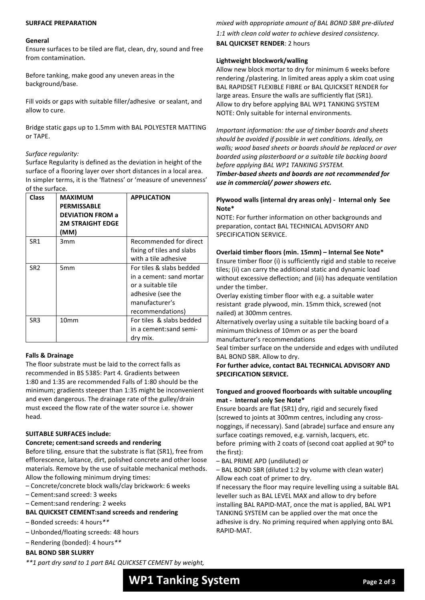#### **SURFACE PREPARATION**

#### **General**

Ensure surfaces to be tiled are flat, clean, dry, sound and free from contamination.

Before tanking, make good any uneven areas in the background/base.

Fill voids or gaps with suitable filler/adhesive or sealant, and allow to cure.

Bridge static gaps up to 1.5mm with BAL POLYESTER MATTING or TAPE.

## *Surface regularity:*

Surface Regularity is defined as the deviation in height of the surface of a flooring layer over short distances in a local area. In simpler terms, it is the 'flatness' or 'measure of unevenness' of the surface.

| <b>Class</b>    | <b>MAXIMUM</b><br><b>PERMISSABLE</b><br><b>DEVIATION FROM a</b><br><b>2M STRAIGHT EDGE</b><br>(MM) | <b>APPLICATION</b>                                                                                                                    |
|-----------------|----------------------------------------------------------------------------------------------------|---------------------------------------------------------------------------------------------------------------------------------------|
| SR1             | 3mm                                                                                                | Recommended for direct<br>fixing of tiles and slabs<br>with a tile adhesive                                                           |
| SR <sub>2</sub> | 5mm                                                                                                | For tiles & slabs bedded<br>in a cement: sand mortar<br>or a suitable tile<br>adhesive (see the<br>manufacturer's<br>recommendations) |
| SR <sub>3</sub> | 10mm                                                                                               | For tiles & slabs bedded<br>in a cement:sand semi-<br>dry mix.                                                                        |

#### **Falls & Drainage**

The floor substrate must be laid to the correct falls as recommended in BS 5385: Part 4. Gradients between 1:80 and 1:35 are recommended Falls of 1:80 should be the minimum; gradients steeper than 1:35 might be inconvenient and even dangerous. The drainage rate of the gulley/drain must exceed the flow rate of the water source i.e. shower head.

#### **SUITABLE SURFACES include:**

#### **Concrete; cement:sand screeds and rendering**

Before tiling, ensure that the substrate is flat (SR1), free from efflorescence, laitance, dirt, polished concrete and other loose materials. Remove by the use of suitable mechanical methods. Allow the following minimum drying times:

– Concrete/concrete block walls/clay brickwork: 6 weeks

– Cement:sand screed: 3 weeks

– Cement:sand rendering: 2 weeks

**BAL QUICKSET CEMENT:sand screeds and rendering**

– Bonded screeds: 4 hours*\*\**

– Unbonded/floating screeds: 48 hours

– Rendering (bonded): 4 hours*\*\**

# **BAL BOND SBR SLURRY**

*\*\*1 part dry sand to 1 part BAL QUICKSET CEMENT by weight,* 

*mixed with appropriate amount of BAL BOND SBR pre-diluted 1:1 with clean cold water to achieve desired consistency.* **BAL QUICKSET RENDER**: 2 hours

## **Lightweight blockwork/walling**

Allow new block mortar to dry for minimum 6 weeks before rendering /plastering. In limited areas apply a skim coat using BAL RAPIDSET FLEXIBLE FIBRE or BAL QUICKSET RENDER for large areas. Ensure the walls are sufficiently flat (SR1). Allow to dry before applying BAL WP1 TANKING SYSTEM NOTE: Only suitable for internal environments.

*Important information: the use of timber boards and sheets should be avoided if possible in wet conditions. Ideally, on walls; wood based sheets or boards should be replaced or over boarded using plasterboard or a suitable tile backing board before applying BAL WP1 TANKING SYSTEM.*

*Timber-based sheets and boards are not recommended for use in commercial/ power showers etc.*

## **Plywood walls (internal dry areas only) - Internal only See Note\***

NOTE: For further information on other backgrounds and preparation, contact BAL TECHNICAL ADVISORY AND SPECIFICATION SERVICE.

# **Overlaid timber floors (min. 15mm) – Internal See Note\***

Ensure timber floor (i) is sufficiently rigid and stable to receive tiles; (ii) can carry the additional static and dynamic load without excessive deflection; and (iii) has adequate ventilation under the timber.

Overlay existing timber floor with e.g. a suitable water resistant grade plywood, min. 15mm thick, screwed (not nailed) at 300mm centres.

Alternatively overlay using a suitable tile backing board of a minimum thickness of 10mm or as per the board manufacturer's recommendations

Seal timber surface on the underside and edges with undiluted BAL BOND SBR. Allow to dry.

**For further advice, contact BAL TECHNICAL ADVISORY AND SPECIFICATION SERVICE.**

## **Tongued and grooved floorboards with suitable uncoupling mat - Internal only See Note\***

Ensure boards are flat (SR1) dry, rigid and securely fixed (screwed to joints at 300mm centres, including any crossnoggings, if necessary). Sand (abrade) surface and ensure any surface coatings removed, e.g. varnish, lacquers, etc. before priming with 2 coats of (second coat applied at 90<sup>o</sup> to the first):

– BAL PRIME APD (undiluted) or

– BAL BOND SBR (diluted 1:2 by volume with clean water) Allow each coat of primer to dry.

If necessary the floor may require levelling using a suitable BAL leveller such as BAL LEVEL MAX and allow to dry before installing BAL RAPID-MAT, once the mat is applied, BAL WP1 TANKING SYSTEM can be applied over the mat once the adhesive is dry. No priming required when applying onto BAL RAPID-MAT.

# **WP1 Tanking System** *Page 2 of 3*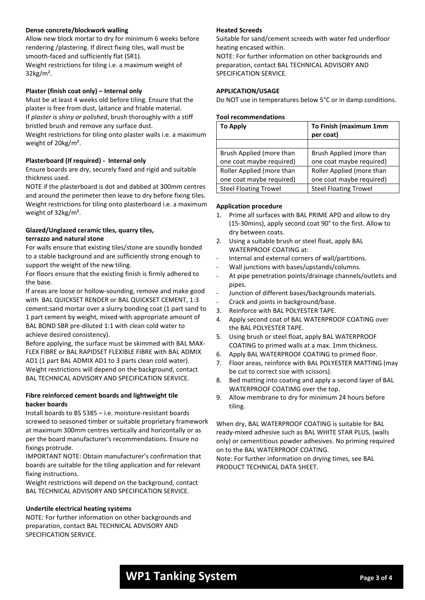## **Dense concrete/blockwork walling**

Allow new block mortar to dry for minimum 6 weeks before rendering /plastering. If direct fixing tiles, wall must be smooth-faced and sufficiently flat (SR1).

Weight restrictions for tiling i.e. a maximum weight of 32kg/m².

#### **Plaster (finish coat only) – Internal only**

Must be at least 4 weeks old before tiling. Ensure that the plaster is free from dust, laitance and friable material. If *plaster is shiny or polished*, brush thoroughly with a stiff bristled brush and remove any surface dust.

Weight restrictions for tiling onto plaster walls i.e. a maximum weight of 20kg/m².

#### **Plasterboard (If required) - Internal only**

Ensure boards are dry, securely fixed and rigid and suitable thickness used.

NOTE if the plasterboard is dot and dabbed at 300mm centres and around the perimeter then leave to dry before fixing tiles. Weight restrictions for tiling onto plasterboard i.e. a maximum weight of 32kg/m².

## **Glazed/Unglazed ceramic tiles, quarry tiles, terrazzo and natural stone**

For walls ensure that existing tiles/stone are soundly bonded to a stable background and are sufficiently strong enough to support the weight of the new tiling.

For floors ensure that the existing finish is firmly adhered to the base.

If areas are loose or hollow-sounding, remove and make good with BAL QUICKSET RENDER or BAL QUICKSET CEMENT, 1:3 cement:sand mortar over a slurry bonding coat (1 part sand to 1 part cement by weight, mixed with appropriate amount of BAL BOND SBR pre-diluted 1:1 with clean cold water to achieve desired consistency).

Before applying, the surface must be skimmed with BAL MAX-FLEX FIBRE or BAL RAPIDSET FLEXIBLE FIBRE with BAL ADMIX AD1 (1 part BAL ADMIX AD1 to 3 parts clean cold water). Weight restrictions will depend on the background, contact BAL TECHNICAL ADVISORY AND SPECIFICATION SERVICE.

#### **Fibre reinforced cement boards and lightweight tile backer boards**

Install boards to BS 5385 – i.e. moisture-resistant boards screwed to seasoned timber or suitable proprietary framework at maximum 300mm centres vertically and horizontally or as per the board manufacturer's recommendations. Ensure no fixings protrude.

IMPORTANT NOTE: Obtain manufacturer's confirmation that boards are suitable for the tiling application and for relevant fixing instructions.

Weight restrictions will depend on the background, contact BAL TECHNICAL ADVISORY AND SPECIFICATION SERVICE.

#### **Undertile electrical heating systems**

NOTE: For further information on other backgrounds and preparation, contact BAL TECHNICAL ADVISORY AND SPECIFICATION SERVICE.

#### **Heated Screeds**

Suitable for sand/cement screeds with water fed underfloor heating encased within.

NOTE: For further information on other backgrounds and preparation, contact BAL TECHNICAL ADVISORY AND SPECIFICATION SERVICE.

#### **APPLICATION/USAGE**

Do NOT use in temperatures below 5°C or in damp conditions.

#### **Tool recommendations**

| <b>To Apply</b>              | To Finish (maximum 1mm<br>per coat) |
|------------------------------|-------------------------------------|
|                              |                                     |
| Brush Applied (more than     | Brush Applied (more than            |
| one coat maybe required)     | one coat maybe required)            |
| Roller Applied (more than    | Roller Applied (more than           |
| one coat maybe required)     | one coat maybe required)            |
| <b>Steel Floating Trowel</b> | <b>Steel Floating Trowel</b>        |

#### **Application procedure**

- 1. Prime all surfaces with BAL PRIME APD and allow to dry (15-30mins), apply second coat 90° to the first. Allow to dry between coats.
- 2. Using a suitable brush or steel float, apply BAL WATERPROOF COATING at:
- Internal and external corners of wall/partitions.
- Wall junctions with bases/upstands/columns.
- At pipe penetration points/drainage channels/outlets and pipes.
- Junction of different bases/backgrounds materials.
- Crack and joints in background/base.
- 3. Reinforce with BAL POLYESTER TAPE.
- 4. Apply second coat of BAL WATERPROOF COATING over the BAL POLYESTER TAPE.
- 5. Using brush or steel float, apply BAL WATERPROOF COATING to primed walls at a max. 1mm thickness.
- 6. Apply BAL WATERPROOF COATING to primed floor.
- 7. Floor areas, reinforce with BAL POLYESTER MATTING (may be cut to correct size with scissors).
- 8. Bed matting into coating and apply a second layer of BAL WATERPROOF COATIMG over the top.
- 9. Allow membrane to dry for minimum 24 hours before tiling.

When dry, BAL WATERPROOF COATING is suitable for BAL ready-mixed adhesive such as BAL WHITE STAR PLUS, (walls only) or cementitious powder adhesives. No priming required on to the BAL WATERPROOF COATING.

Note: For further information on drying times, see BAL PRODUCT TECHNICAL DATA SHEET.

# **WP1 Tanking System** *Page 3 of 4*